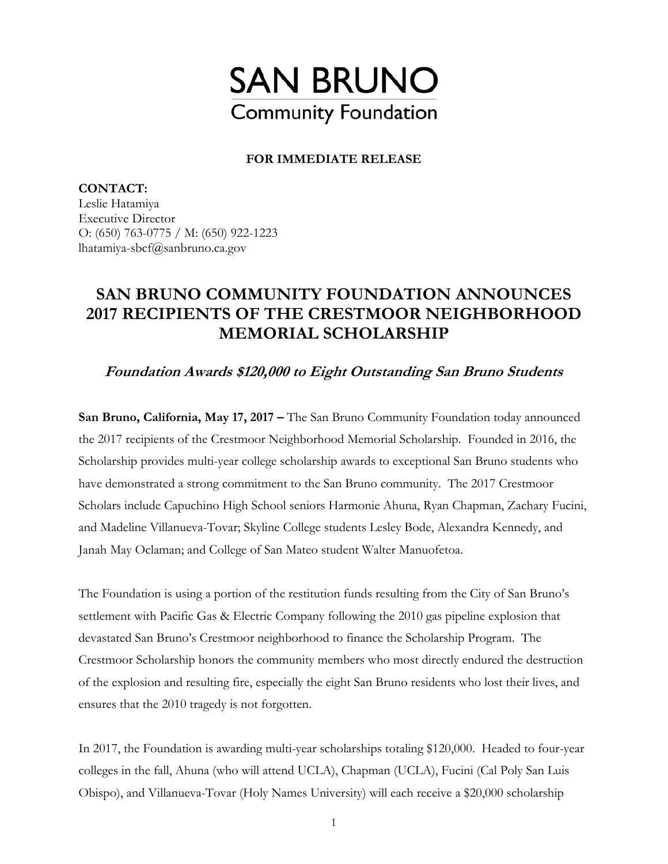

## **FOR IMMEDIATE RELEASE**

**CONTACT:**  Leslie Hatamiya Executive Director O: (650) 763-0775 / M: (650) 922-1223 lhatamiya-sbcf@sanbruno.ca.gov

## **SAN BRUNO COMMUNITY FOUNDATION ANNOUNCES 2017 RECIPIENTS OF THE CRESTMOOR NEIGHBORHOOD MEMORIAL SCHOLARSHIP**

**Foundation Awards \$120,000 to Eight Outstanding San Bruno Students** 

**San Bruno, California, May 17, 2017 –** The San Bruno Community Foundation today announced the 2017 recipients of the Crestmoor Neighborhood Memorial Scholarship. Founded in 2016, the Scholarship provides multi-year college scholarship awards to exceptional San Bruno students who have demonstrated a strong commitment to the San Bruno community. The 2017 Crestmoor Scholars include Capuchino High School seniors Harmonie Ahuna, Ryan Chapman, Zachary Fucini, and Madeline Villanueva-Tovar; Skyline College students Lesley Bode, Alexandra Kennedy, and Janah May Oclaman; and College of San Mateo student Walter Manuofetoa.

The Foundation is using a portion of the restitution funds resulting from the City of San Bruno's settlement with Pacific Gas & Electric Company following the 2010 gas pipeline explosion that devastated San Bruno's Crestmoor neighborhood to finance the Scholarship Program. The Crestmoor Scholarship honors the community members who most directly endured the destruction of the explosion and resulting fire, especially the eight San Bruno residents who lost their lives, and ensures that the 2010 tragedy is not forgotten.

In 2017, the Foundation is awarding multi-year scholarships totaling \$120,000. Headed to four-year colleges in the fall, Ahuna (who will attend UCLA), Chapman (UCLA), Fucini (Cal Poly San Luis Obispo), and Villanueva-Tovar (Holy Names University) will each receive a \$20,000 scholarship